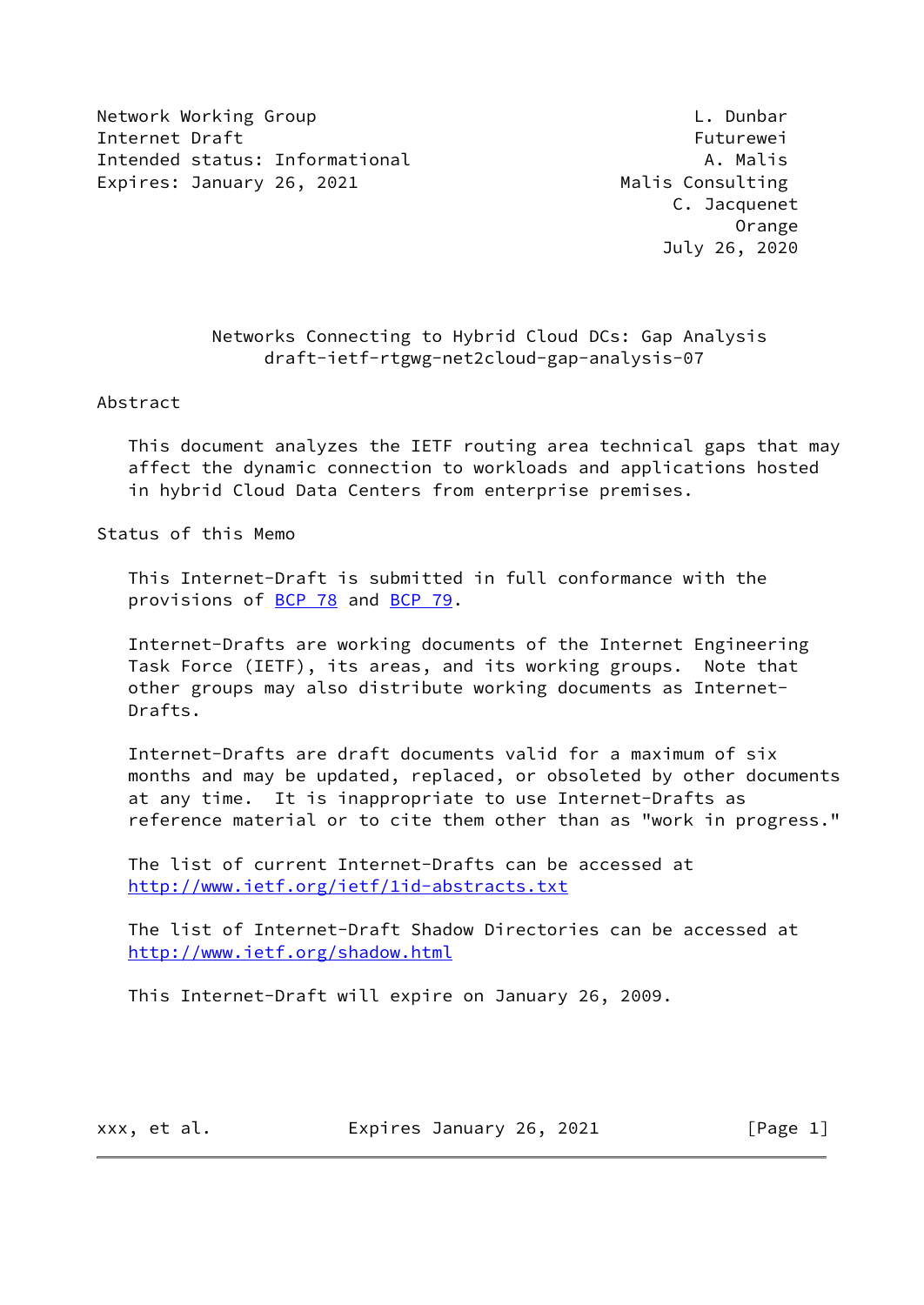Network Working Group **Letter Contains the Container Container** L. Dunbar Internet Draft Futurewei Intended status: Informational A. Malis Expires: January 26, 2021 Malis Consulting

# Networks Connecting to Hybrid Cloud DCs: Gap Analysis draft-ietf-rtgwg-net2cloud-gap-analysis-07

#### Abstract

 This document analyzes the IETF routing area technical gaps that may affect the dynamic connection to workloads and applications hosted in hybrid Cloud Data Centers from enterprise premises.

Status of this Memo

 This Internet-Draft is submitted in full conformance with the provisions of [BCP 78](https://datatracker.ietf.org/doc/pdf/bcp78) and [BCP 79](https://datatracker.ietf.org/doc/pdf/bcp79).

 Internet-Drafts are working documents of the Internet Engineering Task Force (IETF), its areas, and its working groups. Note that other groups may also distribute working documents as Internet- Drafts.

 Internet-Drafts are draft documents valid for a maximum of six months and may be updated, replaced, or obsoleted by other documents at any time. It is inappropriate to use Internet-Drafts as reference material or to cite them other than as "work in progress."

 The list of current Internet-Drafts can be accessed at <http://www.ietf.org/ietf/1id-abstracts.txt>

 The list of Internet-Draft Shadow Directories can be accessed at <http://www.ietf.org/shadow.html>

This Internet-Draft will expire on January 26, 2009.

xxx, et al. **Expires January 26, 2021** [Page 1]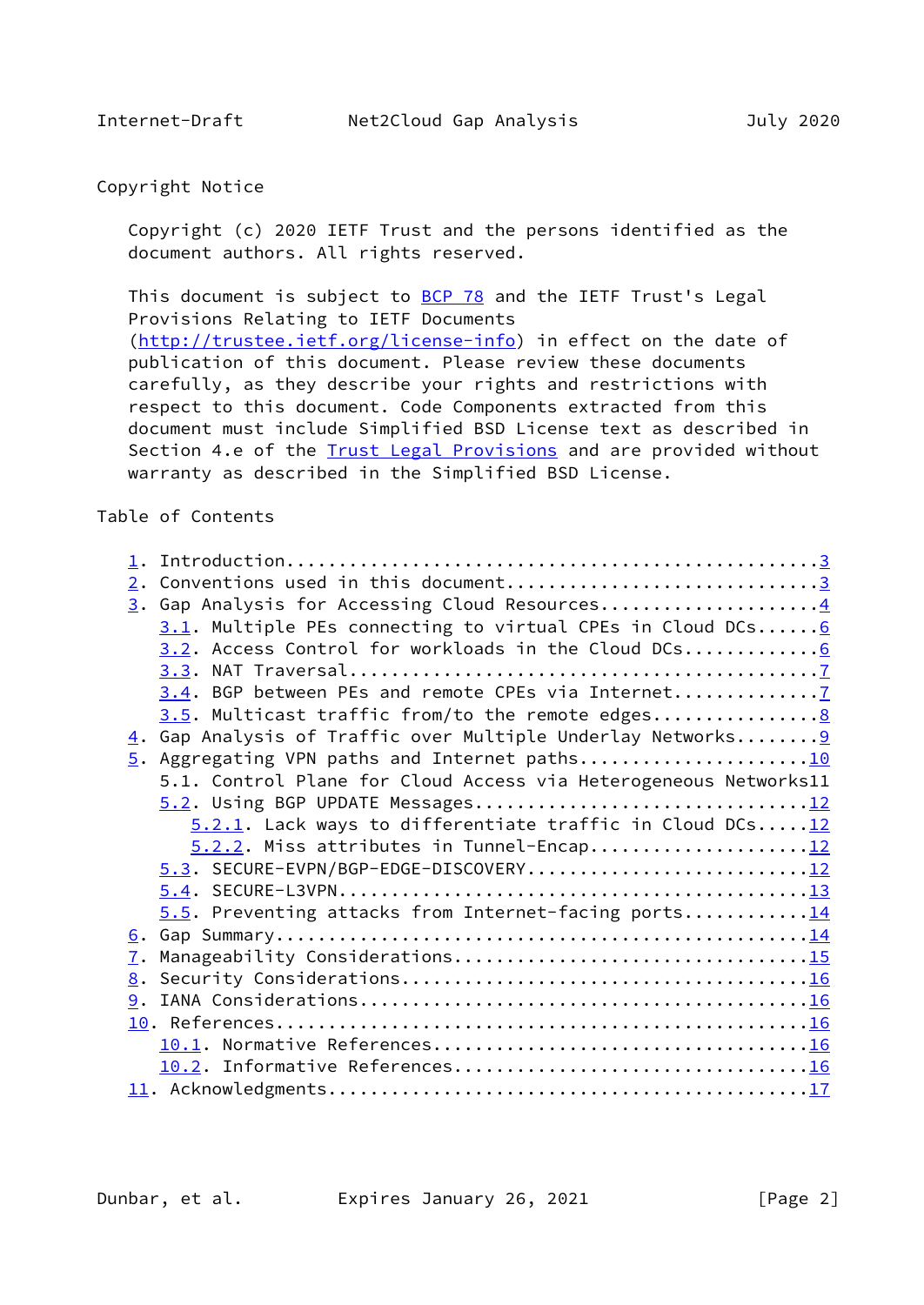# Copyright Notice

 Copyright (c) 2020 IETF Trust and the persons identified as the document authors. All rights reserved.

This document is subject to **[BCP 78](https://datatracker.ietf.org/doc/pdf/bcp78)** and the IETF Trust's Legal Provisions Relating to IETF Documents [\(http://trustee.ietf.org/license-info](http://trustee.ietf.org/license-info)) in effect on the date of publication of this document. Please review these documents carefully, as they describe your rights and restrictions with respect to this document. Code Components extracted from this document must include Simplified BSD License text as described in Section 4.e of the **[Trust Legal Provisions](https://trustee.ietf.org/license-info)** and are provided without warranty as described in the Simplified BSD License.

## Table of Contents

| 2. Conventions used in this document3<br>3. Gap Analysis for Accessing Cloud Resources4<br>$3.1$ . Multiple PEs connecting to virtual CPEs in Cloud DCs 6<br>3.2. Access Control for workloads in the Cloud DCs6<br>3.4. BGP between PEs and remote CPEs via Internet<br>3.5. Multicast traffic from/to the remote edges<br>4. Gap Analysis of Traffic over Multiple Underlay Networks 9<br>5.1. Control Plane for Cloud Access via Heterogeneous Networks11<br>$5.2.1$ . Lack ways to differentiate traffic in Cloud DCs $12$<br>5.3. SECURE-EVPN/BGP-EDGE-DISCOVERY12<br>$5.5$ . Preventing attacks from Internet-facing ports14<br>7. |  |  |
|------------------------------------------------------------------------------------------------------------------------------------------------------------------------------------------------------------------------------------------------------------------------------------------------------------------------------------------------------------------------------------------------------------------------------------------------------------------------------------------------------------------------------------------------------------------------------------------------------------------------------------------|--|--|
|                                                                                                                                                                                                                                                                                                                                                                                                                                                                                                                                                                                                                                          |  |  |
|                                                                                                                                                                                                                                                                                                                                                                                                                                                                                                                                                                                                                                          |  |  |
|                                                                                                                                                                                                                                                                                                                                                                                                                                                                                                                                                                                                                                          |  |  |
|                                                                                                                                                                                                                                                                                                                                                                                                                                                                                                                                                                                                                                          |  |  |
|                                                                                                                                                                                                                                                                                                                                                                                                                                                                                                                                                                                                                                          |  |  |
|                                                                                                                                                                                                                                                                                                                                                                                                                                                                                                                                                                                                                                          |  |  |
|                                                                                                                                                                                                                                                                                                                                                                                                                                                                                                                                                                                                                                          |  |  |
|                                                                                                                                                                                                                                                                                                                                                                                                                                                                                                                                                                                                                                          |  |  |
|                                                                                                                                                                                                                                                                                                                                                                                                                                                                                                                                                                                                                                          |  |  |
|                                                                                                                                                                                                                                                                                                                                                                                                                                                                                                                                                                                                                                          |  |  |
|                                                                                                                                                                                                                                                                                                                                                                                                                                                                                                                                                                                                                                          |  |  |
|                                                                                                                                                                                                                                                                                                                                                                                                                                                                                                                                                                                                                                          |  |  |
|                                                                                                                                                                                                                                                                                                                                                                                                                                                                                                                                                                                                                                          |  |  |
|                                                                                                                                                                                                                                                                                                                                                                                                                                                                                                                                                                                                                                          |  |  |
|                                                                                                                                                                                                                                                                                                                                                                                                                                                                                                                                                                                                                                          |  |  |
|                                                                                                                                                                                                                                                                                                                                                                                                                                                                                                                                                                                                                                          |  |  |
|                                                                                                                                                                                                                                                                                                                                                                                                                                                                                                                                                                                                                                          |  |  |
|                                                                                                                                                                                                                                                                                                                                                                                                                                                                                                                                                                                                                                          |  |  |
|                                                                                                                                                                                                                                                                                                                                                                                                                                                                                                                                                                                                                                          |  |  |
|                                                                                                                                                                                                                                                                                                                                                                                                                                                                                                                                                                                                                                          |  |  |
|                                                                                                                                                                                                                                                                                                                                                                                                                                                                                                                                                                                                                                          |  |  |
|                                                                                                                                                                                                                                                                                                                                                                                                                                                                                                                                                                                                                                          |  |  |
|                                                                                                                                                                                                                                                                                                                                                                                                                                                                                                                                                                                                                                          |  |  |
|                                                                                                                                                                                                                                                                                                                                                                                                                                                                                                                                                                                                                                          |  |  |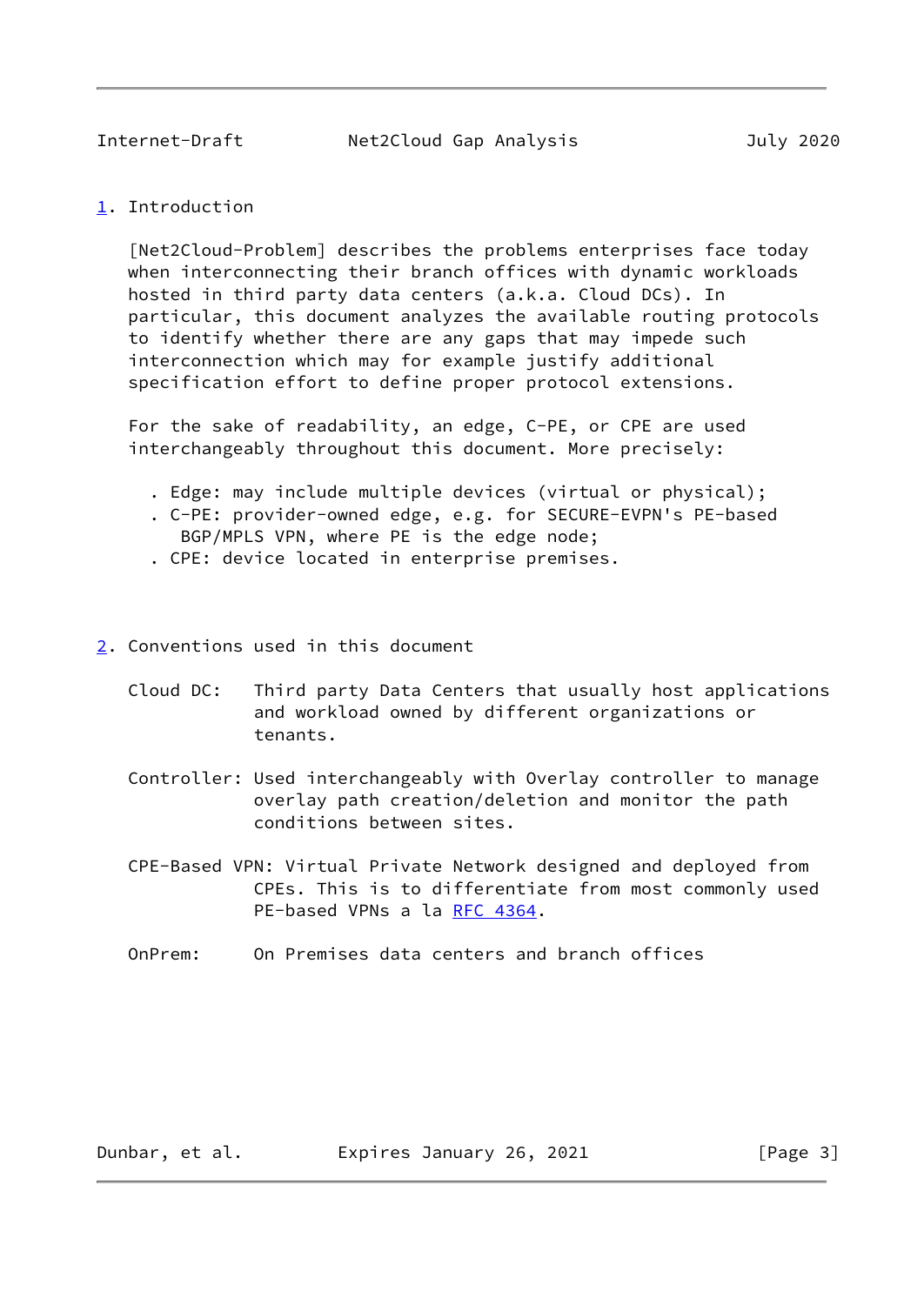<span id="page-2-1"></span><span id="page-2-0"></span>[1](#page-2-0). Introduction

 [Net2Cloud-Problem] describes the problems enterprises face today when interconnecting their branch offices with dynamic workloads hosted in third party data centers (a.k.a. Cloud DCs). In particular, this document analyzes the available routing protocols to identify whether there are any gaps that may impede such interconnection which may for example justify additional specification effort to define proper protocol extensions.

 For the sake of readability, an edge, C-PE, or CPE are used interchangeably throughout this document. More precisely:

- . Edge: may include multiple devices (virtual or physical);
- . C-PE: provider-owned edge, e.g. for SECURE-EVPN's PE-based
- BGP/MPLS VPN, where PE is the edge node;
- . CPE: device located in enterprise premises.
- <span id="page-2-2"></span>[2](#page-2-2). Conventions used in this document
	- Cloud DC: Third party Data Centers that usually host applications and workload owned by different organizations or tenants.
	- Controller: Used interchangeably with Overlay controller to manage overlay path creation/deletion and monitor the path conditions between sites.
	- CPE-Based VPN: Virtual Private Network designed and deployed from CPEs. This is to differentiate from most commonly used PE-based VPNs a la [RFC 4364.](https://datatracker.ietf.org/doc/pdf/rfc4364)
	- OnPrem: On Premises data centers and branch offices

Dunbar, et al. Expires January 26, 2021 [Page 3]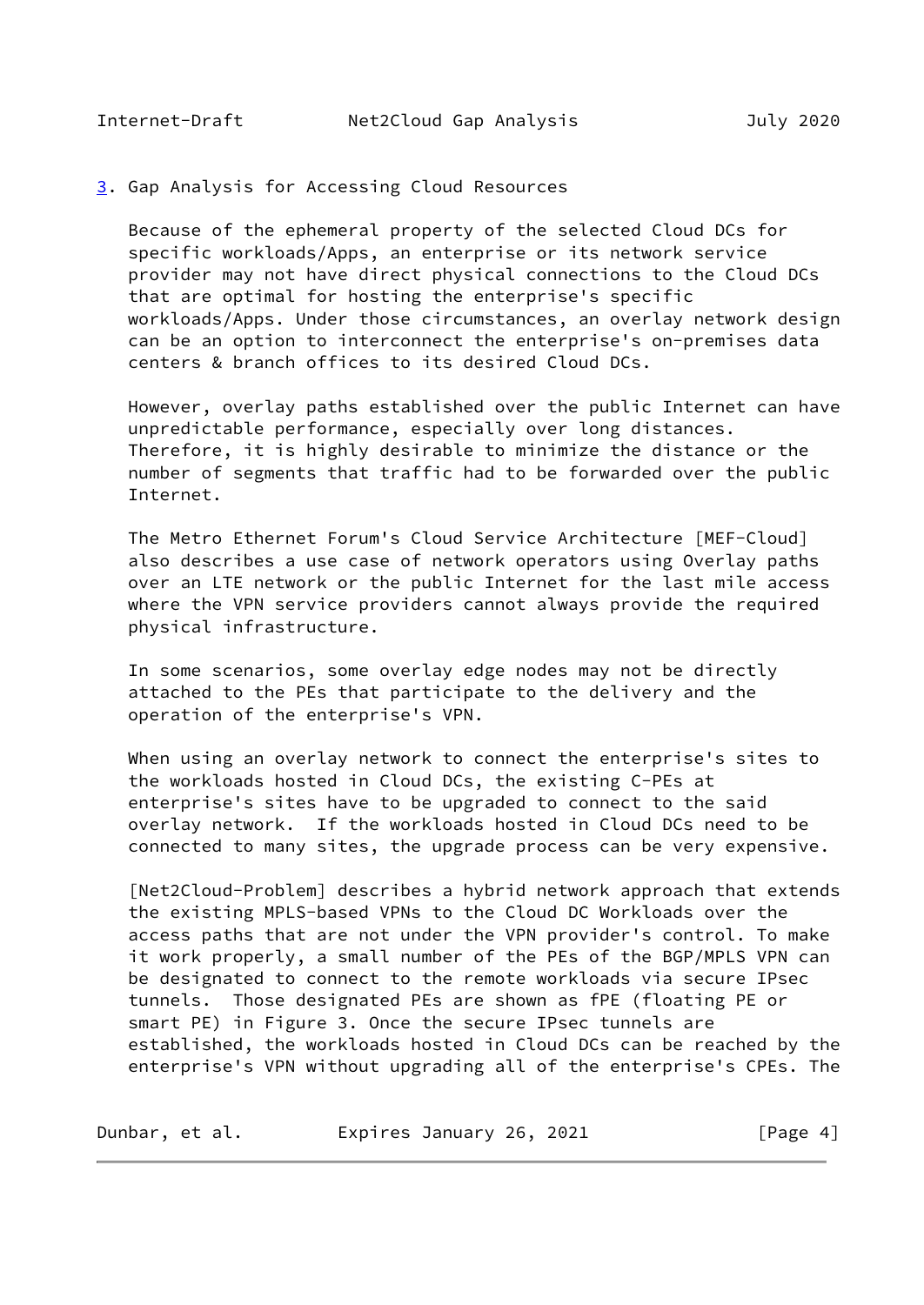#### <span id="page-3-1"></span><span id="page-3-0"></span>[3](#page-3-0). Gap Analysis for Accessing Cloud Resources

 Because of the ephemeral property of the selected Cloud DCs for specific workloads/Apps, an enterprise or its network service provider may not have direct physical connections to the Cloud DCs that are optimal for hosting the enterprise's specific workloads/Apps. Under those circumstances, an overlay network design can be an option to interconnect the enterprise's on-premises data centers & branch offices to its desired Cloud DCs.

 However, overlay paths established over the public Internet can have unpredictable performance, especially over long distances. Therefore, it is highly desirable to minimize the distance or the number of segments that traffic had to be forwarded over the public Internet.

 The Metro Ethernet Forum's Cloud Service Architecture [MEF-Cloud] also describes a use case of network operators using Overlay paths over an LTE network or the public Internet for the last mile access where the VPN service providers cannot always provide the required physical infrastructure.

 In some scenarios, some overlay edge nodes may not be directly attached to the PEs that participate to the delivery and the operation of the enterprise's VPN.

 When using an overlay network to connect the enterprise's sites to the workloads hosted in Cloud DCs, the existing C-PEs at enterprise's sites have to be upgraded to connect to the said overlay network. If the workloads hosted in Cloud DCs need to be connected to many sites, the upgrade process can be very expensive.

 [Net2Cloud-Problem] describes a hybrid network approach that extends the existing MPLS-based VPNs to the Cloud DC Workloads over the access paths that are not under the VPN provider's control. To make it work properly, a small number of the PEs of the BGP/MPLS VPN can be designated to connect to the remote workloads via secure IPsec tunnels. Those designated PEs are shown as fPE (floating PE or smart PE) in Figure 3. Once the secure IPsec tunnels are established, the workloads hosted in Cloud DCs can be reached by the enterprise's VPN without upgrading all of the enterprise's CPEs. The

| Dunbar, et al. | Expires January 26, 2021 | [Page 4] |
|----------------|--------------------------|----------|
|----------------|--------------------------|----------|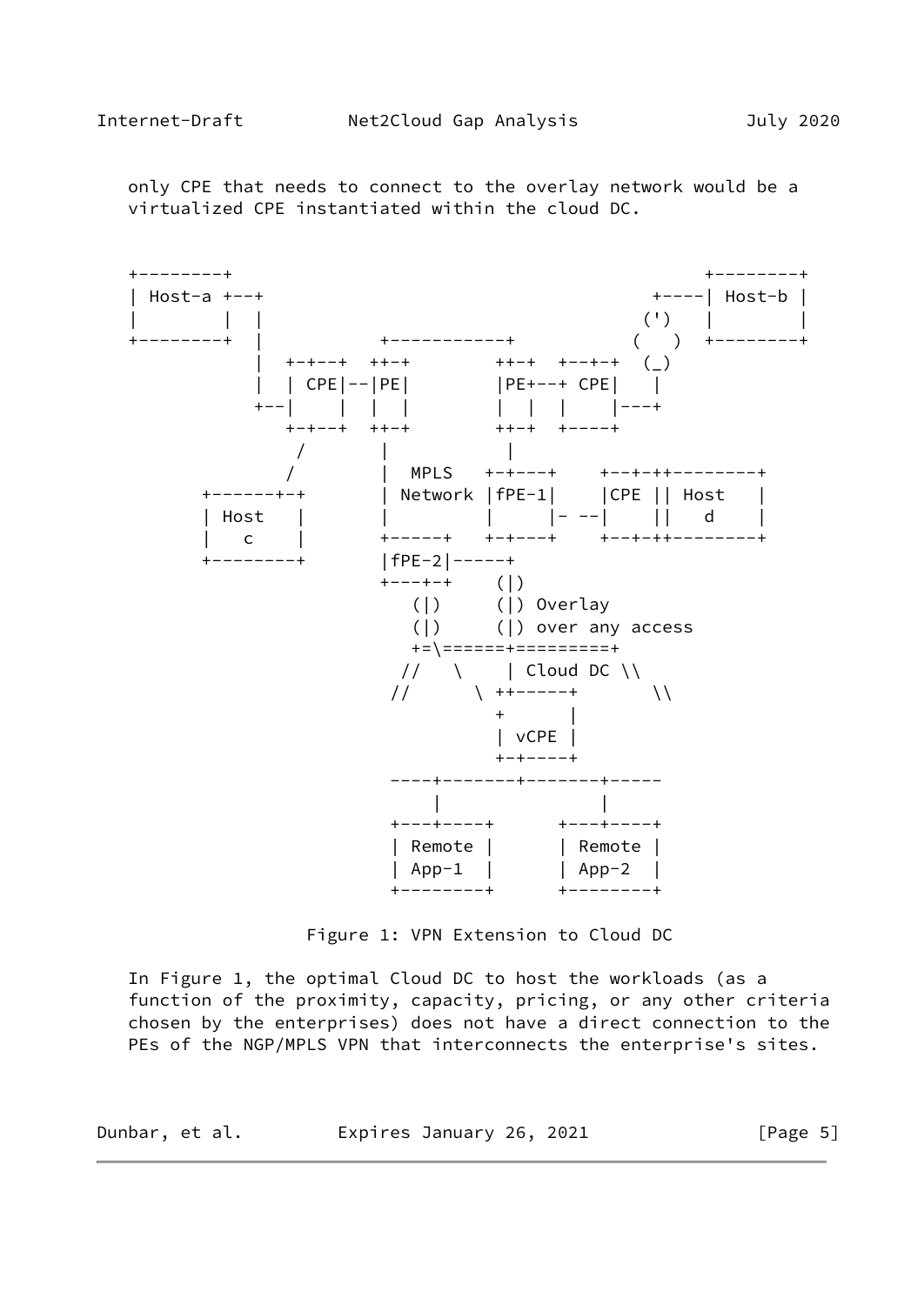only CPE that needs to connect to the overlay network would be a virtualized CPE instantiated within the cloud DC.



Figure 1: VPN Extension to Cloud DC

 In Figure 1, the optimal Cloud DC to host the workloads (as a function of the proximity, capacity, pricing, or any other criteria chosen by the enterprises) does not have a direct connection to the PEs of the NGP/MPLS VPN that interconnects the enterprise's sites.

| Dunbar, et al. | Expires January 26, 2021 | [Page 5] |
|----------------|--------------------------|----------|
|----------------|--------------------------|----------|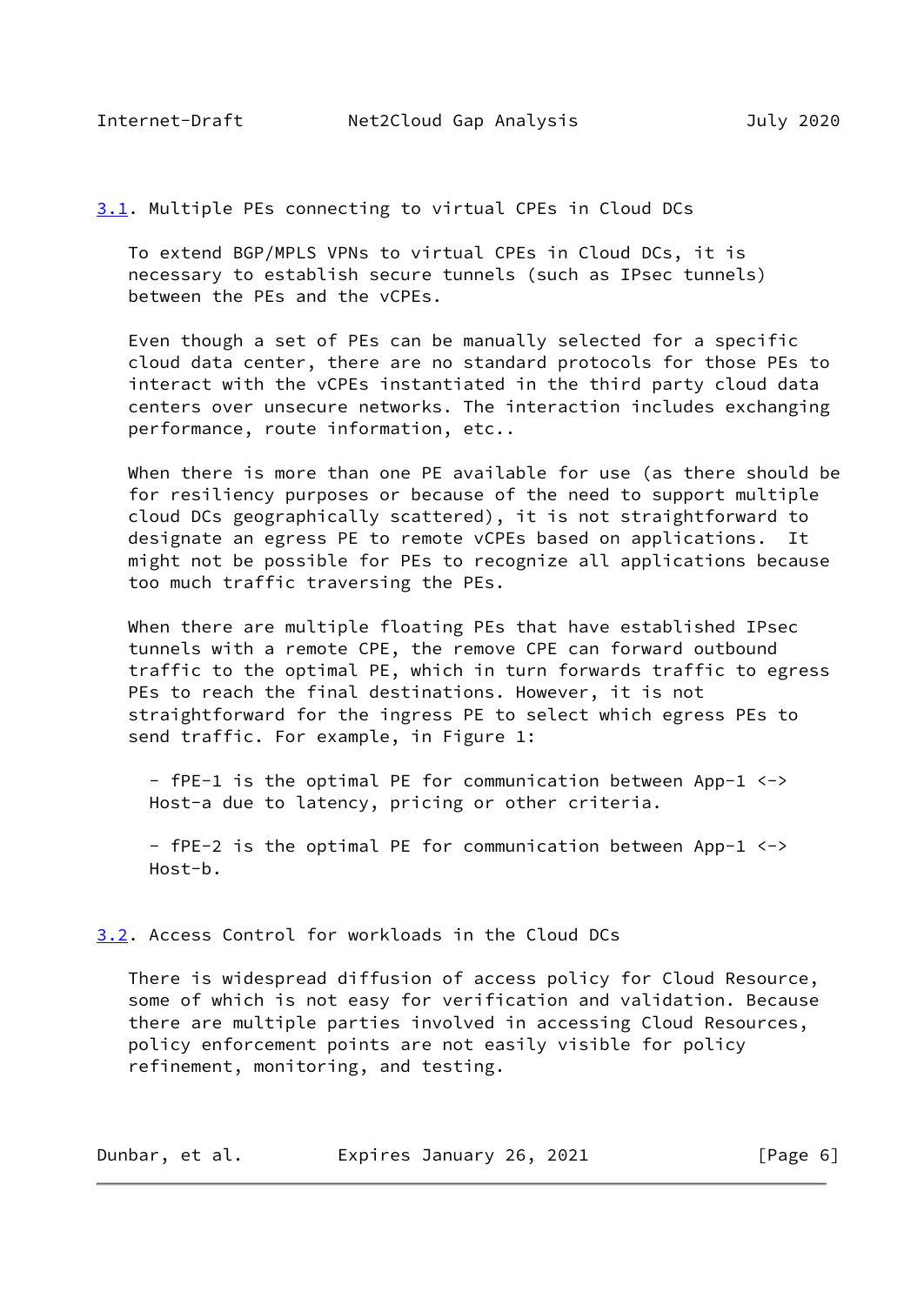<span id="page-5-1"></span>

<span id="page-5-0"></span>[3.1](#page-5-0). Multiple PEs connecting to virtual CPEs in Cloud DCs

 To extend BGP/MPLS VPNs to virtual CPEs in Cloud DCs, it is necessary to establish secure tunnels (such as IPsec tunnels) between the PEs and the vCPEs.

 Even though a set of PEs can be manually selected for a specific cloud data center, there are no standard protocols for those PEs to interact with the vCPEs instantiated in the third party cloud data centers over unsecure networks. The interaction includes exchanging performance, route information, etc..

 When there is more than one PE available for use (as there should be for resiliency purposes or because of the need to support multiple cloud DCs geographically scattered), it is not straightforward to designate an egress PE to remote vCPEs based on applications. It might not be possible for PEs to recognize all applications because too much traffic traversing the PEs.

 When there are multiple floating PEs that have established IPsec tunnels with a remote CPE, the remove CPE can forward outbound traffic to the optimal PE, which in turn forwards traffic to egress PEs to reach the final destinations. However, it is not straightforward for the ingress PE to select which egress PEs to send traffic. For example, in Figure 1:

 - fPE-1 is the optimal PE for communication between App-1 <-> Host-a due to latency, pricing or other criteria.

 - fPE-2 is the optimal PE for communication between App-1 <-> Host-b.

<span id="page-5-2"></span>[3.2](#page-5-2). Access Control for workloads in the Cloud DCs

 There is widespread diffusion of access policy for Cloud Resource, some of which is not easy for verification and validation. Because there are multiple parties involved in accessing Cloud Resources, policy enforcement points are not easily visible for policy refinement, monitoring, and testing.

| Dunbar, et al. | Expires January 26, 2021 | [Page 6] |
|----------------|--------------------------|----------|
|----------------|--------------------------|----------|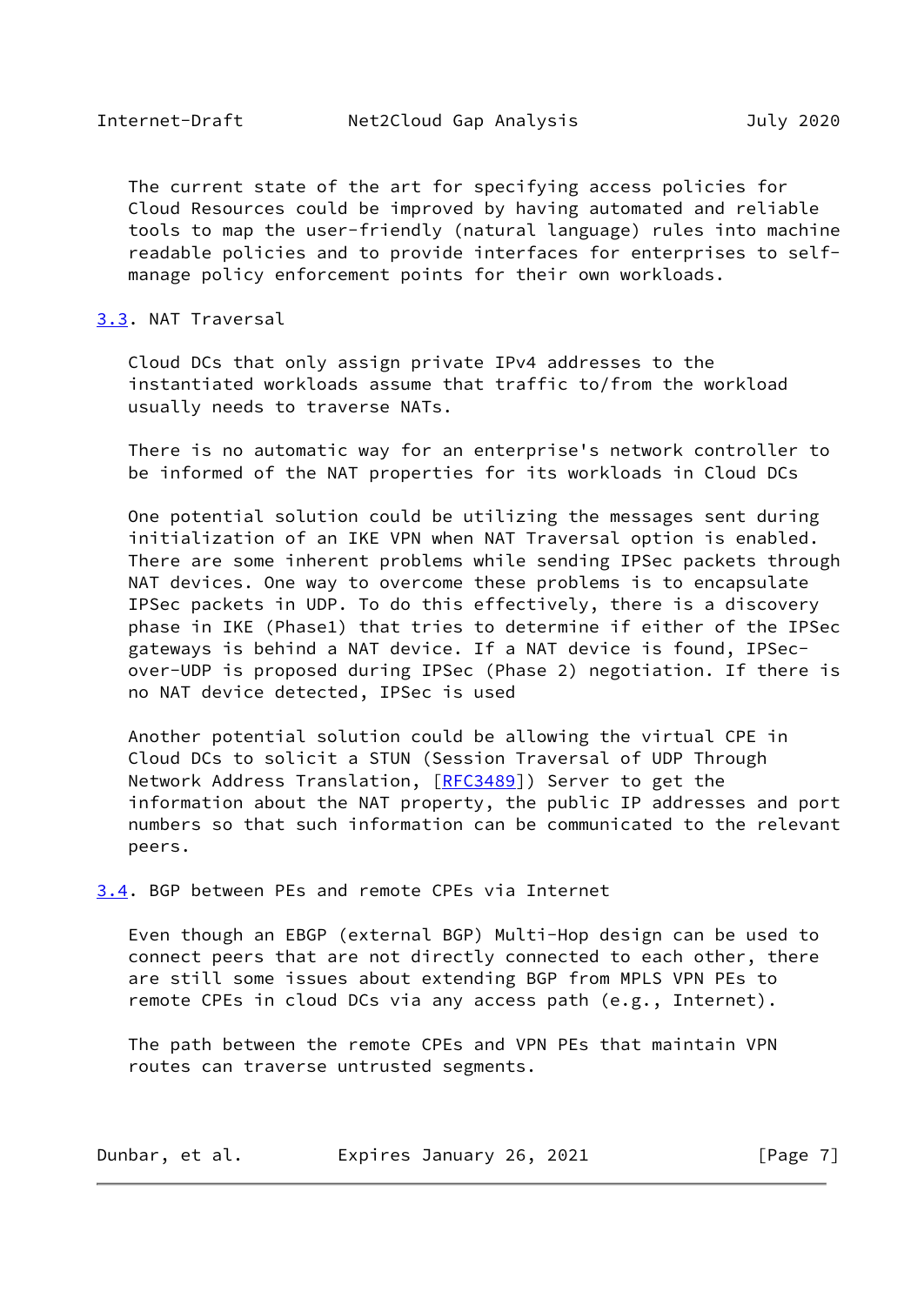<span id="page-6-1"></span> The current state of the art for specifying access policies for Cloud Resources could be improved by having automated and reliable tools to map the user-friendly (natural language) rules into machine readable policies and to provide interfaces for enterprises to self manage policy enforcement points for their own workloads.

#### <span id="page-6-0"></span>[3.3](#page-6-0). NAT Traversal

 Cloud DCs that only assign private IPv4 addresses to the instantiated workloads assume that traffic to/from the workload usually needs to traverse NATs.

 There is no automatic way for an enterprise's network controller to be informed of the NAT properties for its workloads in Cloud DCs

 One potential solution could be utilizing the messages sent during initialization of an IKE VPN when NAT Traversal option is enabled. There are some inherent problems while sending IPSec packets through NAT devices. One way to overcome these problems is to encapsulate IPSec packets in UDP. To do this effectively, there is a discovery phase in IKE (Phase1) that tries to determine if either of the IPSec gateways is behind a NAT device. If a NAT device is found, IPSec over-UDP is proposed during IPSec (Phase 2) negotiation. If there is no NAT device detected, IPSec is used

 Another potential solution could be allowing the virtual CPE in Cloud DCs to solicit a STUN (Session Traversal of UDP Through Network Address Translation, [\[RFC3489](https://datatracker.ietf.org/doc/pdf/rfc3489)]) Server to get the information about the NAT property, the public IP addresses and port numbers so that such information can be communicated to the relevant peers.

<span id="page-6-2"></span>[3.4](#page-6-2). BGP between PEs and remote CPEs via Internet

 Even though an EBGP (external BGP) Multi-Hop design can be used to connect peers that are not directly connected to each other, there are still some issues about extending BGP from MPLS VPN PEs to remote CPEs in cloud DCs via any access path (e.g., Internet).

 The path between the remote CPEs and VPN PEs that maintain VPN routes can traverse untrusted segments.

| Dunbar, et al. | Expires January 26, 2021 |  |  | [Page 7] |  |
|----------------|--------------------------|--|--|----------|--|
|----------------|--------------------------|--|--|----------|--|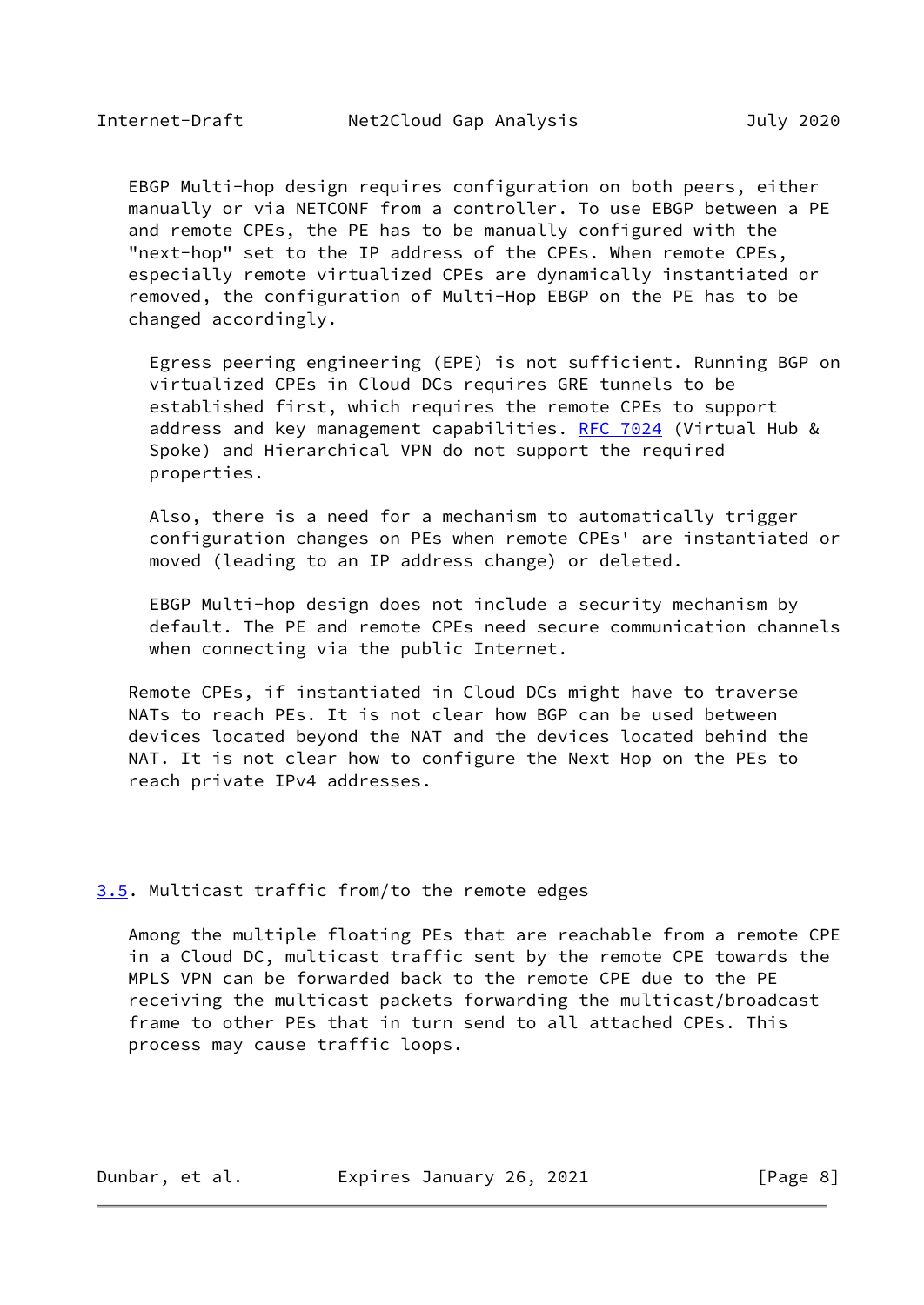<span id="page-7-1"></span> EBGP Multi-hop design requires configuration on both peers, either manually or via NETCONF from a controller. To use EBGP between a PE and remote CPEs, the PE has to be manually configured with the "next-hop" set to the IP address of the CPEs. When remote CPEs, especially remote virtualized CPEs are dynamically instantiated or removed, the configuration of Multi-Hop EBGP on the PE has to be changed accordingly.

 Egress peering engineering (EPE) is not sufficient. Running BGP on virtualized CPEs in Cloud DCs requires GRE tunnels to be established first, which requires the remote CPEs to support address and key management capabilities. [RFC 7024](https://datatracker.ietf.org/doc/pdf/rfc7024) (Virtual Hub & Spoke) and Hierarchical VPN do not support the required properties.

 Also, there is a need for a mechanism to automatically trigger configuration changes on PEs when remote CPEs' are instantiated or moved (leading to an IP address change) or deleted.

 EBGP Multi-hop design does not include a security mechanism by default. The PE and remote CPEs need secure communication channels when connecting via the public Internet.

 Remote CPEs, if instantiated in Cloud DCs might have to traverse NATs to reach PEs. It is not clear how BGP can be used between devices located beyond the NAT and the devices located behind the NAT. It is not clear how to configure the Next Hop on the PEs to reach private IPv4 addresses.

#### <span id="page-7-0"></span>[3.5](#page-7-0). Multicast traffic from/to the remote edges

 Among the multiple floating PEs that are reachable from a remote CPE in a Cloud DC, multicast traffic sent by the remote CPE towards the MPLS VPN can be forwarded back to the remote CPE due to the PE receiving the multicast packets forwarding the multicast/broadcast frame to other PEs that in turn send to all attached CPEs. This process may cause traffic loops.

Dunbar, et al. Expires January 26, 2021 [Page 8]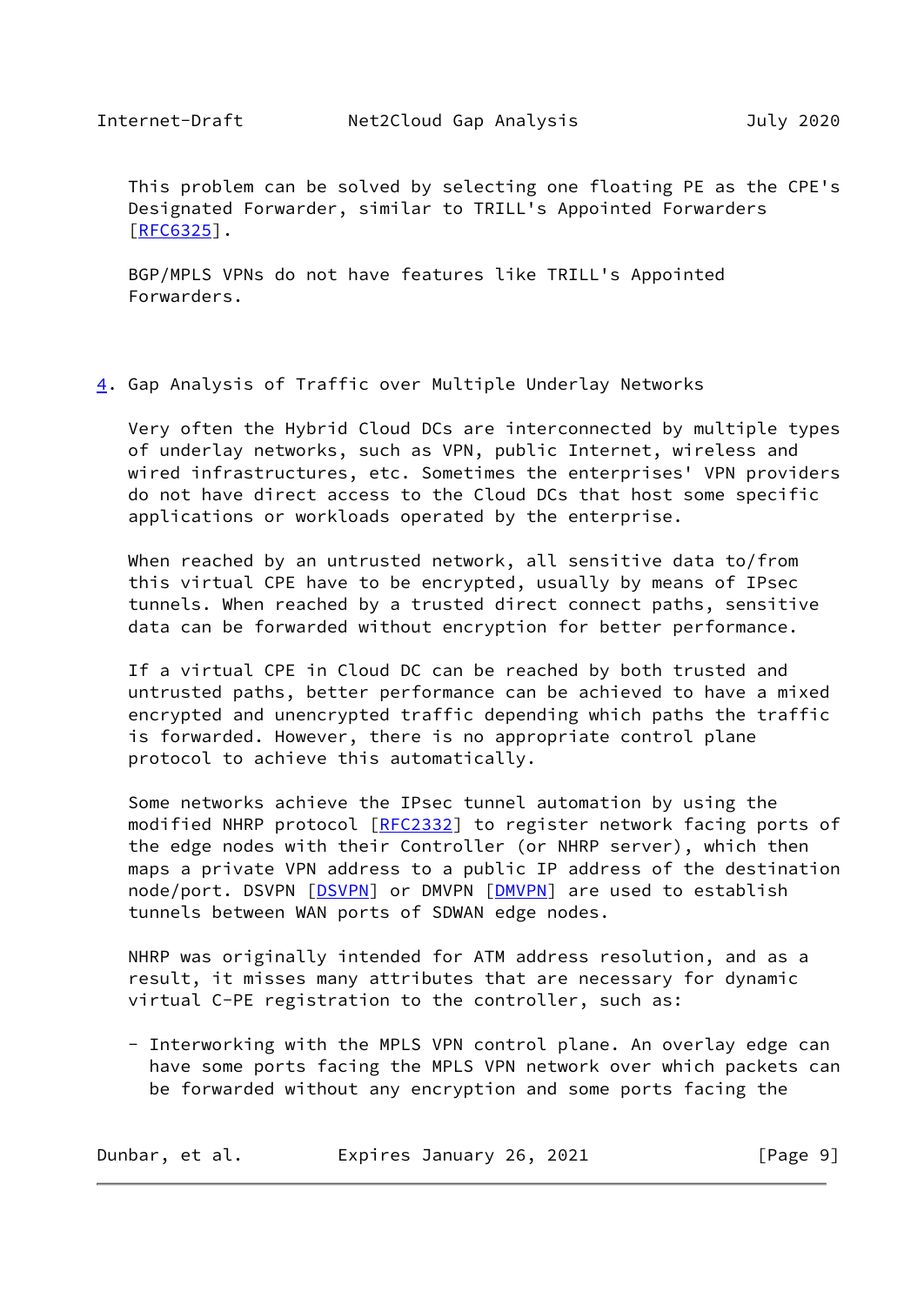<span id="page-8-1"></span> This problem can be solved by selecting one floating PE as the CPE's Designated Forwarder, similar to TRILL's Appointed Forwarders  $TRFC6325$ ].

 BGP/MPLS VPNs do not have features like TRILL's Appointed Forwarders.

## <span id="page-8-0"></span>[4](#page-8-0). Gap Analysis of Traffic over Multiple Underlay Networks

 Very often the Hybrid Cloud DCs are interconnected by multiple types of underlay networks, such as VPN, public Internet, wireless and wired infrastructures, etc. Sometimes the enterprises' VPN providers do not have direct access to the Cloud DCs that host some specific applications or workloads operated by the enterprise.

 When reached by an untrusted network, all sensitive data to/from this virtual CPE have to be encrypted, usually by means of IPsec tunnels. When reached by a trusted direct connect paths, sensitive data can be forwarded without encryption for better performance.

 If a virtual CPE in Cloud DC can be reached by both trusted and untrusted paths, better performance can be achieved to have a mixed encrypted and unencrypted traffic depending which paths the traffic is forwarded. However, there is no appropriate control plane protocol to achieve this automatically.

 Some networks achieve the IPsec tunnel automation by using the modified NHRP protocol [\[RFC2332](https://datatracker.ietf.org/doc/pdf/rfc2332)] to register network facing ports of the edge nodes with their Controller (or NHRP server), which then maps a private VPN address to a public IP address of the destination node/port. DSVPN [\[DSVPN\]](#page-16-2) or DMVPN [[DMVPN\]](#page-16-3) are used to establish tunnels between WAN ports of SDWAN edge nodes.

 NHRP was originally intended for ATM address resolution, and as a result, it misses many attributes that are necessary for dynamic virtual C-PE registration to the controller, such as:

 - Interworking with the MPLS VPN control plane. An overlay edge can have some ports facing the MPLS VPN network over which packets can be forwarded without any encryption and some ports facing the

| Dunbar, et al. | Expires January 26, 2021 | [Page 9] |
|----------------|--------------------------|----------|
|----------------|--------------------------|----------|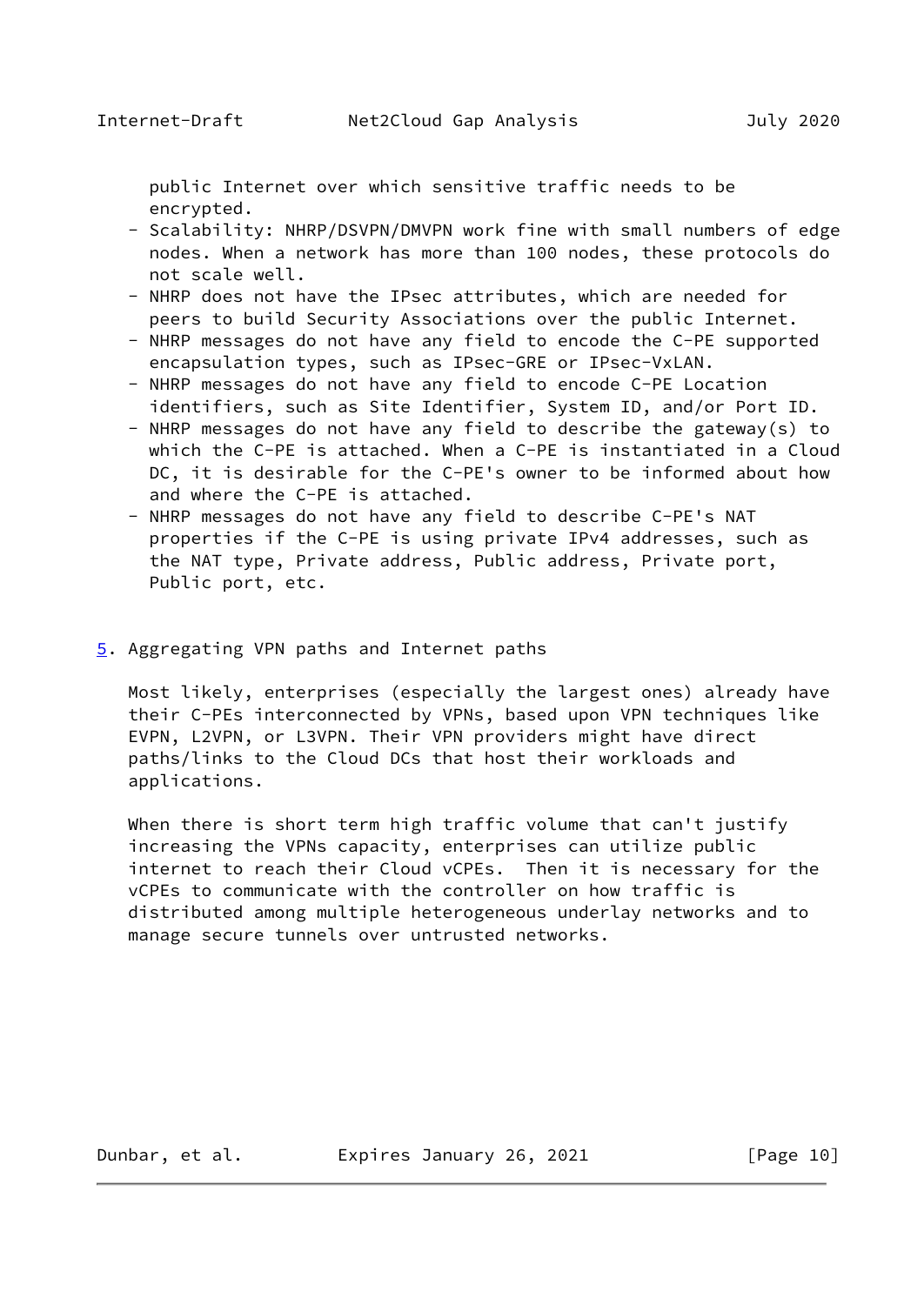<span id="page-9-1"></span> public Internet over which sensitive traffic needs to be encrypted.

- Scalability: NHRP/DSVPN/DMVPN work fine with small numbers of edge nodes. When a network has more than 100 nodes, these protocols do not scale well.
- NHRP does not have the IPsec attributes, which are needed for peers to build Security Associations over the public Internet.
- NHRP messages do not have any field to encode the C-PE supported encapsulation types, such as IPsec-GRE or IPsec-VxLAN.
- NHRP messages do not have any field to encode C-PE Location identifiers, such as Site Identifier, System ID, and/or Port ID.
- NHRP messages do not have any field to describe the gateway(s) to which the C-PE is attached. When a C-PE is instantiated in a Cloud DC, it is desirable for the C-PE's owner to be informed about how and where the C-PE is attached.
- NHRP messages do not have any field to describe C-PE's NAT properties if the C-PE is using private IPv4 addresses, such as the NAT type, Private address, Public address, Private port, Public port, etc.
- <span id="page-9-0"></span>[5](#page-9-0). Aggregating VPN paths and Internet paths

 Most likely, enterprises (especially the largest ones) already have their C-PEs interconnected by VPNs, based upon VPN techniques like EVPN, L2VPN, or L3VPN. Their VPN providers might have direct paths/links to the Cloud DCs that host their workloads and applications.

When there is short term high traffic volume that can't justify increasing the VPNs capacity, enterprises can utilize public internet to reach their Cloud vCPEs. Then it is necessary for the vCPEs to communicate with the controller on how traffic is distributed among multiple heterogeneous underlay networks and to manage secure tunnels over untrusted networks.

Dunbar, et al. Expires January 26, 2021 [Page 10]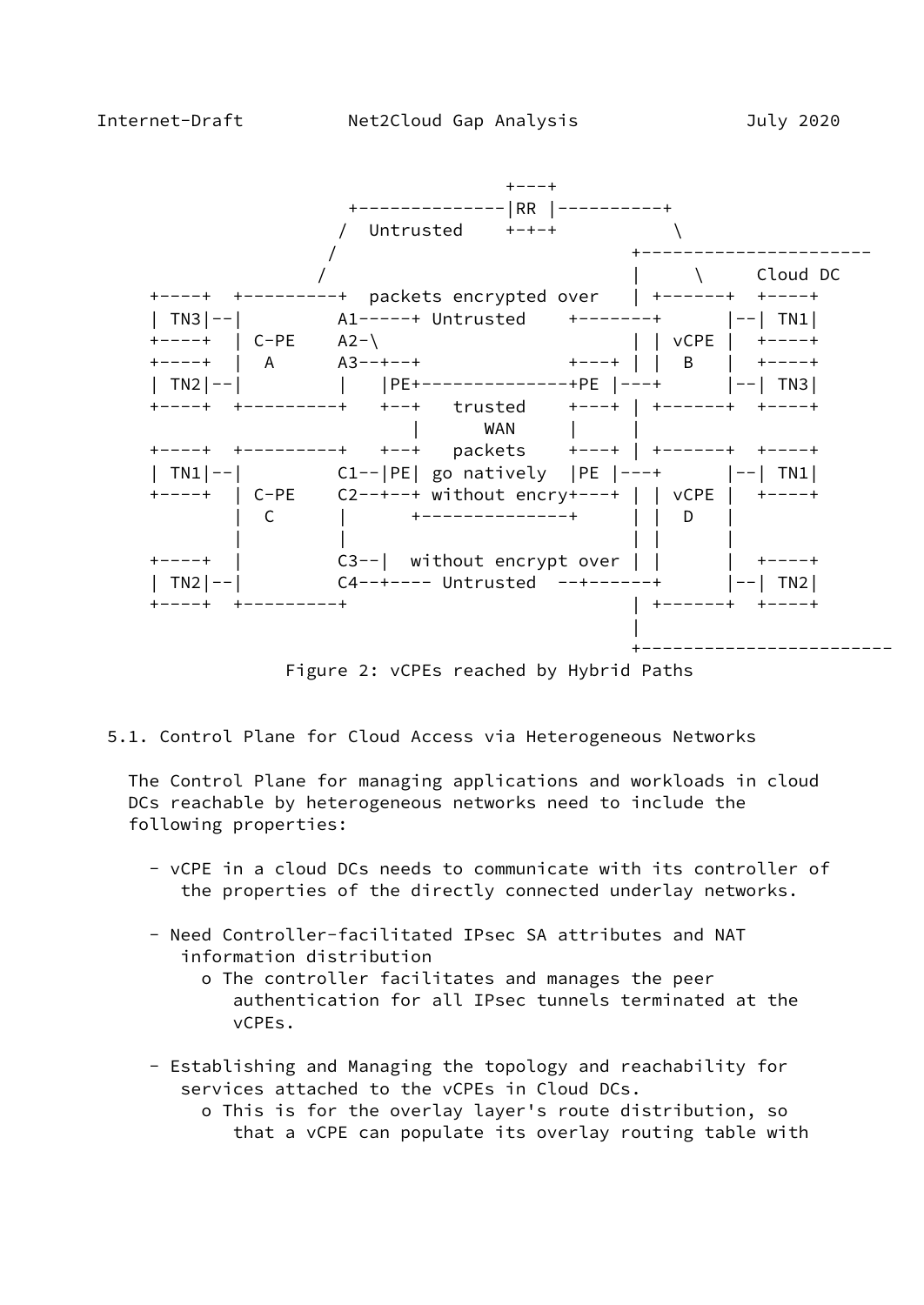

Figure 2: vCPEs reached by Hybrid Paths

5.1. Control Plane for Cloud Access via Heterogeneous Networks

 The Control Plane for managing applications and workloads in cloud DCs reachable by heterogeneous networks need to include the following properties:

- vCPE in a cloud DCs needs to communicate with its controller of the properties of the directly connected underlay networks.
- Need Controller-facilitated IPsec SA attributes and NAT information distribution
	- o The controller facilitates and manages the peer authentication for all IPsec tunnels terminated at the vCPEs.
- Establishing and Managing the topology and reachability for services attached to the vCPEs in Cloud DCs.
	- o This is for the overlay layer's route distribution, so that a vCPE can populate its overlay routing table with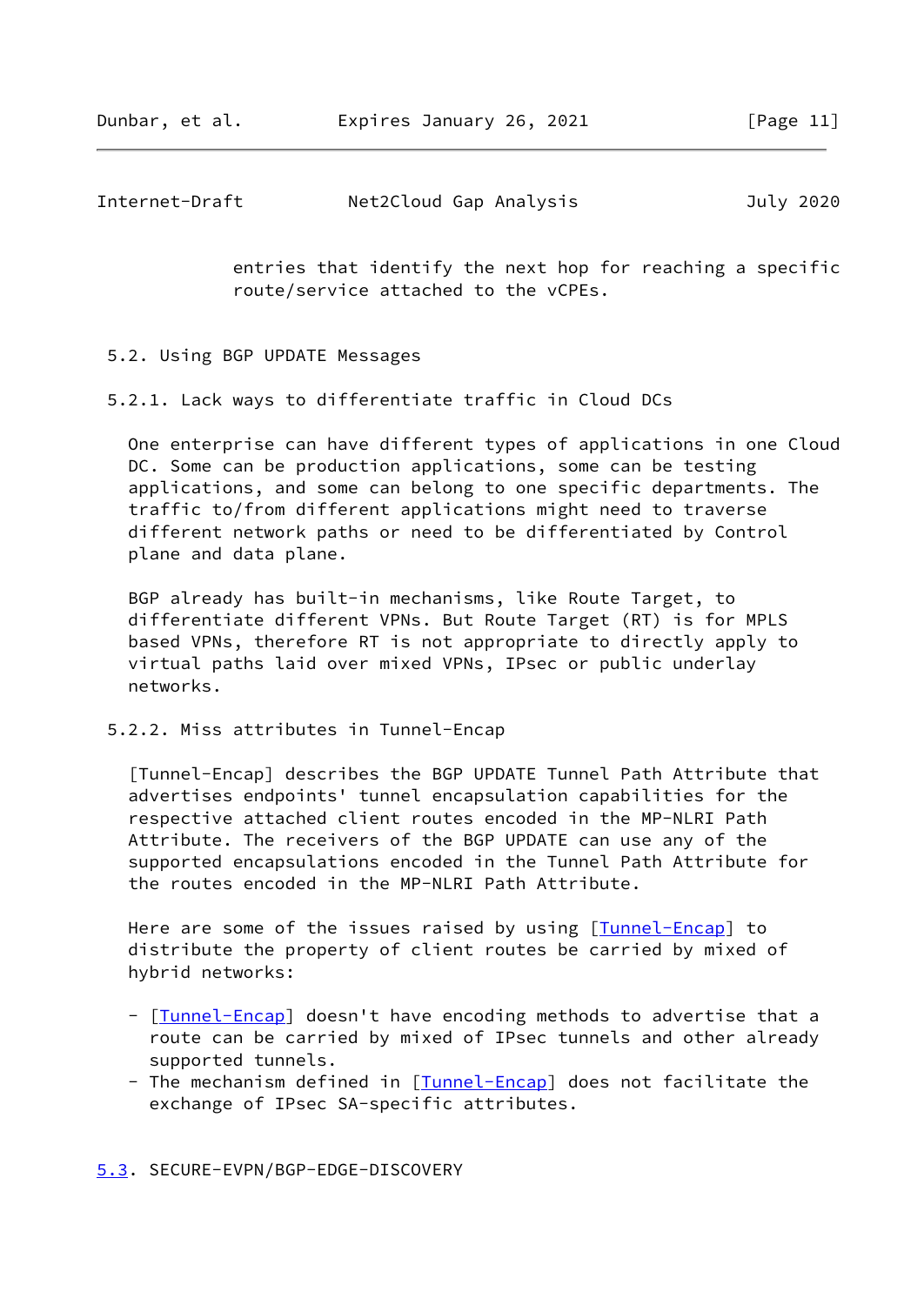Dunbar, et al. Expires January 26, 2021 [Page 11]

<span id="page-11-0"></span>

| Internet-Draft | Net2Cloud Gap Analysis |  |  | July 2020 |
|----------------|------------------------|--|--|-----------|
|----------------|------------------------|--|--|-----------|

 entries that identify the next hop for reaching a specific route/service attached to the vCPEs.

#### 5.2. Using BGP UPDATE Messages

5.2.1. Lack ways to differentiate traffic in Cloud DCs

 One enterprise can have different types of applications in one Cloud DC. Some can be production applications, some can be testing applications, and some can belong to one specific departments. The traffic to/from different applications might need to traverse different network paths or need to be differentiated by Control plane and data plane.

 BGP already has built-in mechanisms, like Route Target, to differentiate different VPNs. But Route Target (RT) is for MPLS based VPNs, therefore RT is not appropriate to directly apply to virtual paths laid over mixed VPNs, IPsec or public underlay networks.

5.2.2. Miss attributes in Tunnel-Encap

<span id="page-11-2"></span> [Tunnel-Encap] describes the BGP UPDATE Tunnel Path Attribute that advertises endpoints' tunnel encapsulation capabilities for the respective attached client routes encoded in the MP-NLRI Path Attribute. The receivers of the BGP UPDATE can use any of the supported encapsulations encoded in the Tunnel Path Attribute for the routes encoded in the MP-NLRI Path Attribute.

Here are some of the issues raised by using [*Tunnel-Encap*] to distribute the property of client routes be carried by mixed of hybrid networks:

- [[Tunnel-Encap\]](#page-11-2) doesn't have encoding methods to advertise that a route can be carried by mixed of IPsec tunnels and other already supported tunnels.
- The mechanism defined in [[Tunnel-Encap\]](#page-11-2) does not facilitate the exchange of IPsec SA-specific attributes.

## <span id="page-11-1"></span>[5.3](#page-11-1). SECURE-EVPN/BGP-EDGE-DISCOVERY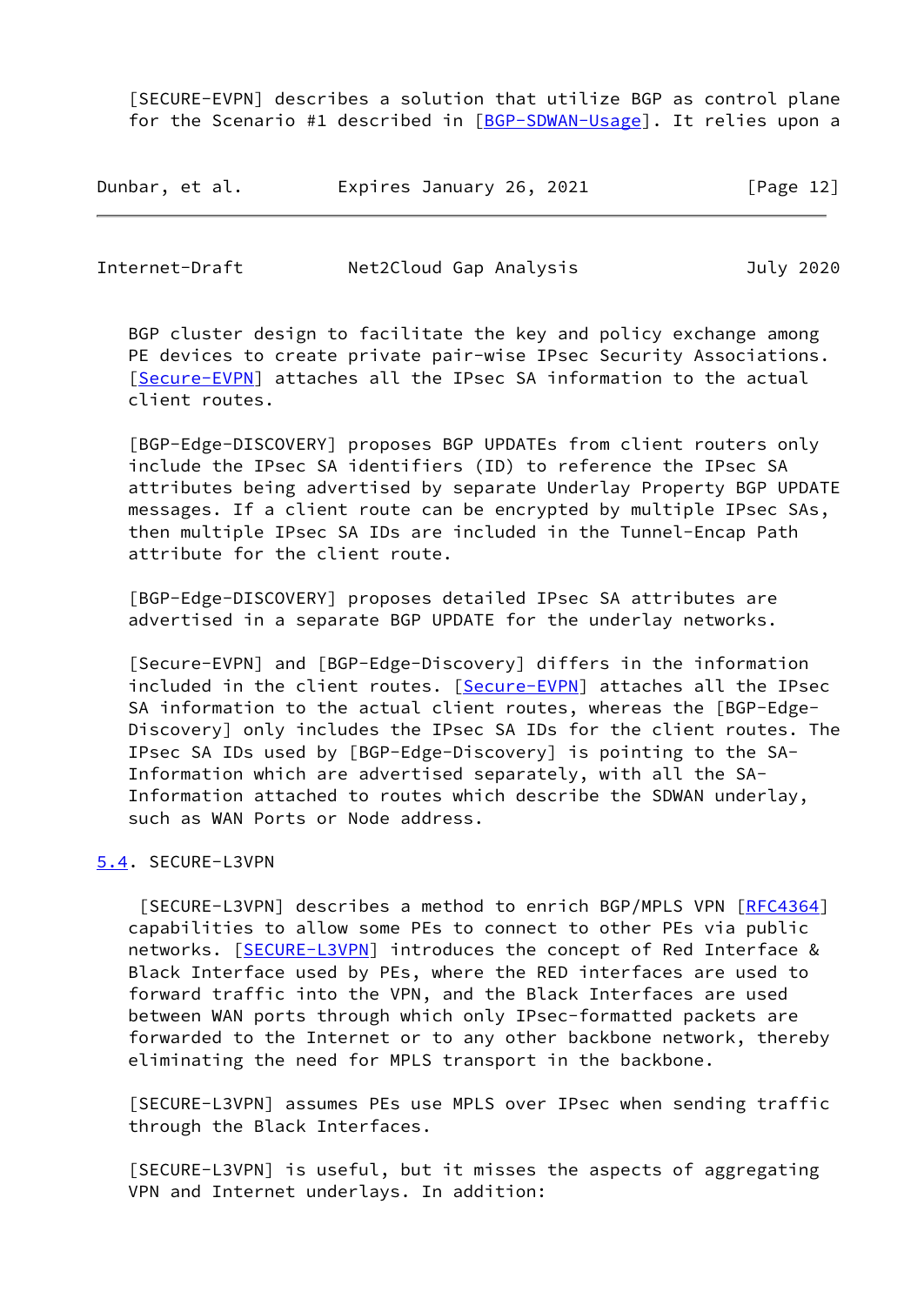[SECURE-EVPN] describes a solution that utilize BGP as control plane for the Scenario #1 described in [\[BGP-SDWAN-Usage](#page-16-4)]. It relies upon a

| Dunbar, et al. | Expires January 26, 2021 | [Page 12] |
|----------------|--------------------------|-----------|
|----------------|--------------------------|-----------|

<span id="page-12-1"></span>

| Internet-Draft | Net2Cloud Gap Analysis | July 2020 |
|----------------|------------------------|-----------|
|                |                        |           |

 BGP cluster design to facilitate the key and policy exchange among PE devices to create private pair-wise IPsec Security Associations. [\[Secure-EVPN](#page-12-2)] attaches all the IPsec SA information to the actual client routes.

 [BGP-Edge-DISCOVERY] proposes BGP UPDATEs from client routers only include the IPsec SA identifiers (ID) to reference the IPsec SA attributes being advertised by separate Underlay Property BGP UPDATE messages. If a client route can be encrypted by multiple IPsec SAs, then multiple IPsec SA IDs are included in the Tunnel-Encap Path attribute for the client route.

 [BGP-Edge-DISCOVERY] proposes detailed IPsec SA attributes are advertised in a separate BGP UPDATE for the underlay networks.

<span id="page-12-2"></span> [Secure-EVPN] and [BGP-Edge-Discovery] differs in the information included in the client routes. [\[Secure-EVPN](#page-12-2)] attaches all the IPsec SA information to the actual client routes, whereas the [BGP-Edge- Discovery] only includes the IPsec SA IDs for the client routes. The IPsec SA IDs used by [BGP-Edge-Discovery] is pointing to the SA- Information which are advertised separately, with all the SA- Information attached to routes which describe the SDWAN underlay, such as WAN Ports or Node address.

## <span id="page-12-0"></span>[5.4](#page-12-0). SECURE-L3VPN

<span id="page-12-3"></span>[SECURE-L3VPN] describes a method to enrich BGP/MPLS VPN [[RFC4364](https://datatracker.ietf.org/doc/pdf/rfc4364)] capabilities to allow some PEs to connect to other PEs via public networks. [[SECURE-L3VPN\]](#page-12-3) introduces the concept of Red Interface & Black Interface used by PEs, where the RED interfaces are used to forward traffic into the VPN, and the Black Interfaces are used between WAN ports through which only IPsec-formatted packets are forwarded to the Internet or to any other backbone network, thereby eliminating the need for MPLS transport in the backbone.

 [SECURE-L3VPN] assumes PEs use MPLS over IPsec when sending traffic through the Black Interfaces.

 [SECURE-L3VPN] is useful, but it misses the aspects of aggregating VPN and Internet underlays. In addition: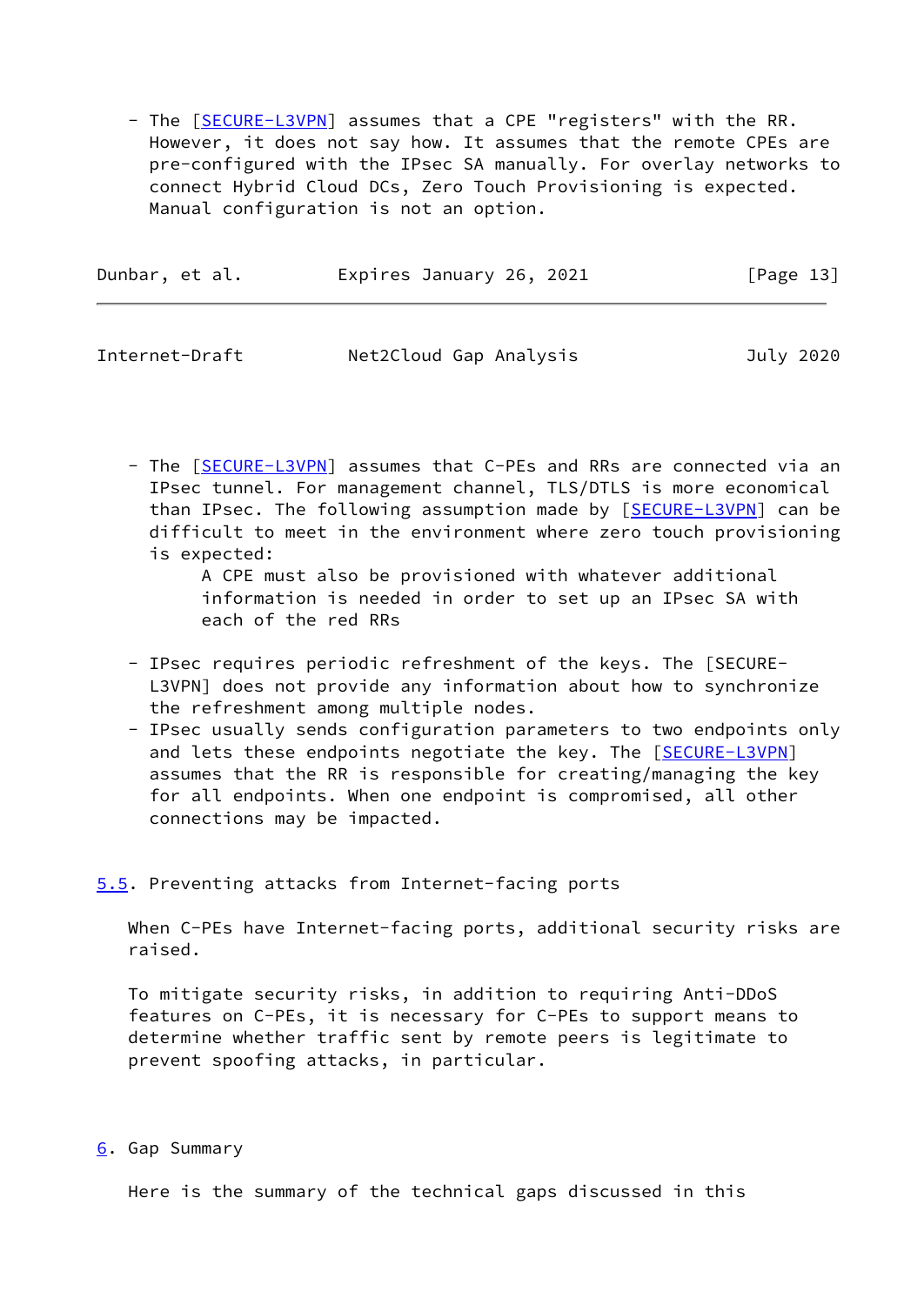- The [[SECURE-L3VPN\]](#page-12-3) assumes that a CPE "registers" with the RR. However, it does not say how. It assumes that the remote CPEs are pre-configured with the IPsec SA manually. For overlay networks to connect Hybrid Cloud DCs, Zero Touch Provisioning is expected. Manual configuration is not an option.

| Dunbar, et al. | Expires January 26, 2021 | [Page 13] |
|----------------|--------------------------|-----------|
|                |                          |           |

<span id="page-13-1"></span>

| Internet-Draft | Net2Cloud Gap Analysis | July 2020 |
|----------------|------------------------|-----------|
|----------------|------------------------|-----------|

- The [[SECURE-L3VPN\]](#page-12-3) assumes that C-PEs and RRs are connected via an IPsec tunnel. For management channel, TLS/DTLS is more economical than IPsec. The following assumption made by [\[SECURE-L3VPN](#page-12-3)] can be difficult to meet in the environment where zero touch provisioning is expected:

 A CPE must also be provisioned with whatever additional information is needed in order to set up an IPsec SA with each of the red RRs

- IPsec requires periodic refreshment of the keys. The [SECURE- L3VPN] does not provide any information about how to synchronize the refreshment among multiple nodes.
- IPsec usually sends configuration parameters to two endpoints only and lets these endpoints negotiate the key. The [[SECURE-L3VPN\]](#page-12-3) assumes that the RR is responsible for creating/managing the key for all endpoints. When one endpoint is compromised, all other connections may be impacted.

## <span id="page-13-0"></span>[5.5](#page-13-0). Preventing attacks from Internet-facing ports

When C-PEs have Internet-facing ports, additional security risks are raised.

 To mitigate security risks, in addition to requiring Anti-DDoS features on C-PEs, it is necessary for C-PEs to support means to determine whether traffic sent by remote peers is legitimate to prevent spoofing attacks, in particular.

## <span id="page-13-2"></span>[6](#page-13-2). Gap Summary

Here is the summary of the technical gaps discussed in this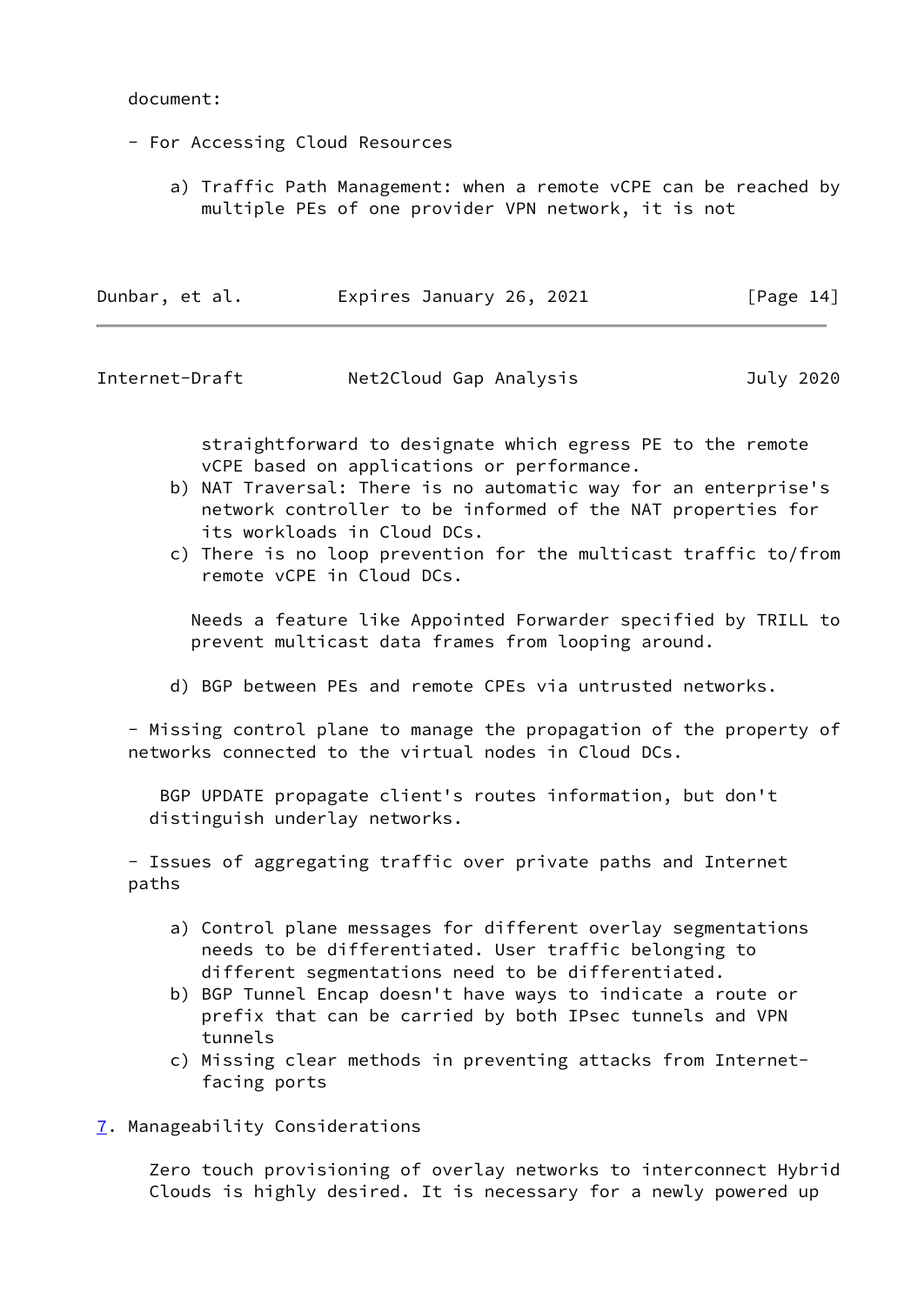#### document:

- For Accessing Cloud Resources
	- a) Traffic Path Management: when a remote vCPE can be reached by multiple PEs of one provider VPN network, it is not

| Dunbar, et al. | Expires January 26, 2021 | [Page 14] |
|----------------|--------------------------|-----------|
|                |                          |           |

<span id="page-14-1"></span>

| Internet-Draft | Net2Cloud Gap Analysis | July 2020 |
|----------------|------------------------|-----------|
|                |                        |           |

 straightforward to designate which egress PE to the remote vCPE based on applications or performance.

- b) NAT Traversal: There is no automatic way for an enterprise's network controller to be informed of the NAT properties for its workloads in Cloud DCs.
- c) There is no loop prevention for the multicast traffic to/from remote vCPE in Cloud DCs.

 Needs a feature like Appointed Forwarder specified by TRILL to prevent multicast data frames from looping around.

d) BGP between PEs and remote CPEs via untrusted networks.

 - Missing control plane to manage the propagation of the property of networks connected to the virtual nodes in Cloud DCs.

 BGP UPDATE propagate client's routes information, but don't distinguish underlay networks.

 - Issues of aggregating traffic over private paths and Internet paths

- a) Control plane messages for different overlay segmentations needs to be differentiated. User traffic belonging to different segmentations need to be differentiated.
- b) BGP Tunnel Encap doesn't have ways to indicate a route or prefix that can be carried by both IPsec tunnels and VPN tunnels
- c) Missing clear methods in preventing attacks from Internet facing ports
- <span id="page-14-0"></span>[7](#page-14-0). Manageability Considerations

 Zero touch provisioning of overlay networks to interconnect Hybrid Clouds is highly desired. It is necessary for a newly powered up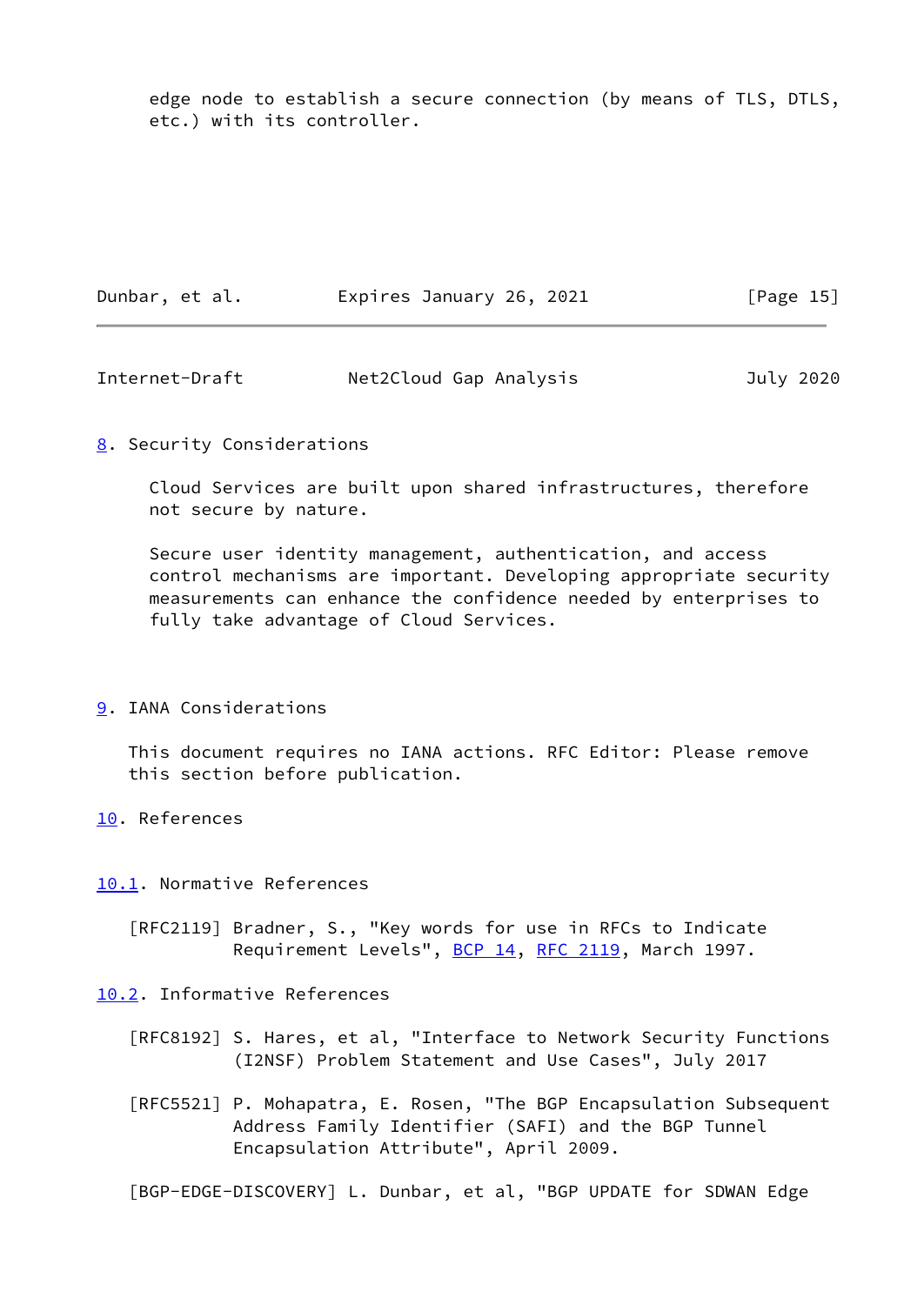edge node to establish a secure connection (by means of TLS, DTLS, etc.) with its controller.

| Dunbar, et al. | Expires January 26, 2021 | [Page 15] |
|----------------|--------------------------|-----------|
|                |                          |           |

<span id="page-15-1"></span>

| Internet-Draft | Net2Cloud Gap Analysis | July 2020 |
|----------------|------------------------|-----------|
|----------------|------------------------|-----------|

## <span id="page-15-0"></span>[8](#page-15-0). Security Considerations

 Cloud Services are built upon shared infrastructures, therefore not secure by nature.

 Secure user identity management, authentication, and access control mechanisms are important. Developing appropriate security measurements can enhance the confidence needed by enterprises to fully take advantage of Cloud Services.

## <span id="page-15-2"></span>[9](#page-15-2). IANA Considerations

 This document requires no IANA actions. RFC Editor: Please remove this section before publication.

<span id="page-15-3"></span>[10.](#page-15-3) References

<span id="page-15-4"></span>[10.1](#page-15-4). Normative References

 [RFC2119] Bradner, S., "Key words for use in RFCs to Indicate Requirement Levels", [BCP 14](https://datatracker.ietf.org/doc/pdf/bcp14), [RFC 2119,](https://datatracker.ietf.org/doc/pdf/rfc2119) March 1997.

<span id="page-15-5"></span>[10.2](#page-15-5). Informative References

- [RFC8192] S. Hares, et al, "Interface to Network Security Functions (I2NSF) Problem Statement and Use Cases", July 2017
- [RFC5521] P. Mohapatra, E. Rosen, "The BGP Encapsulation Subsequent Address Family Identifier (SAFI) and the BGP Tunnel Encapsulation Attribute", April 2009.

[BGP-EDGE-DISCOVERY] L. Dunbar, et al, "BGP UPDATE for SDWAN Edge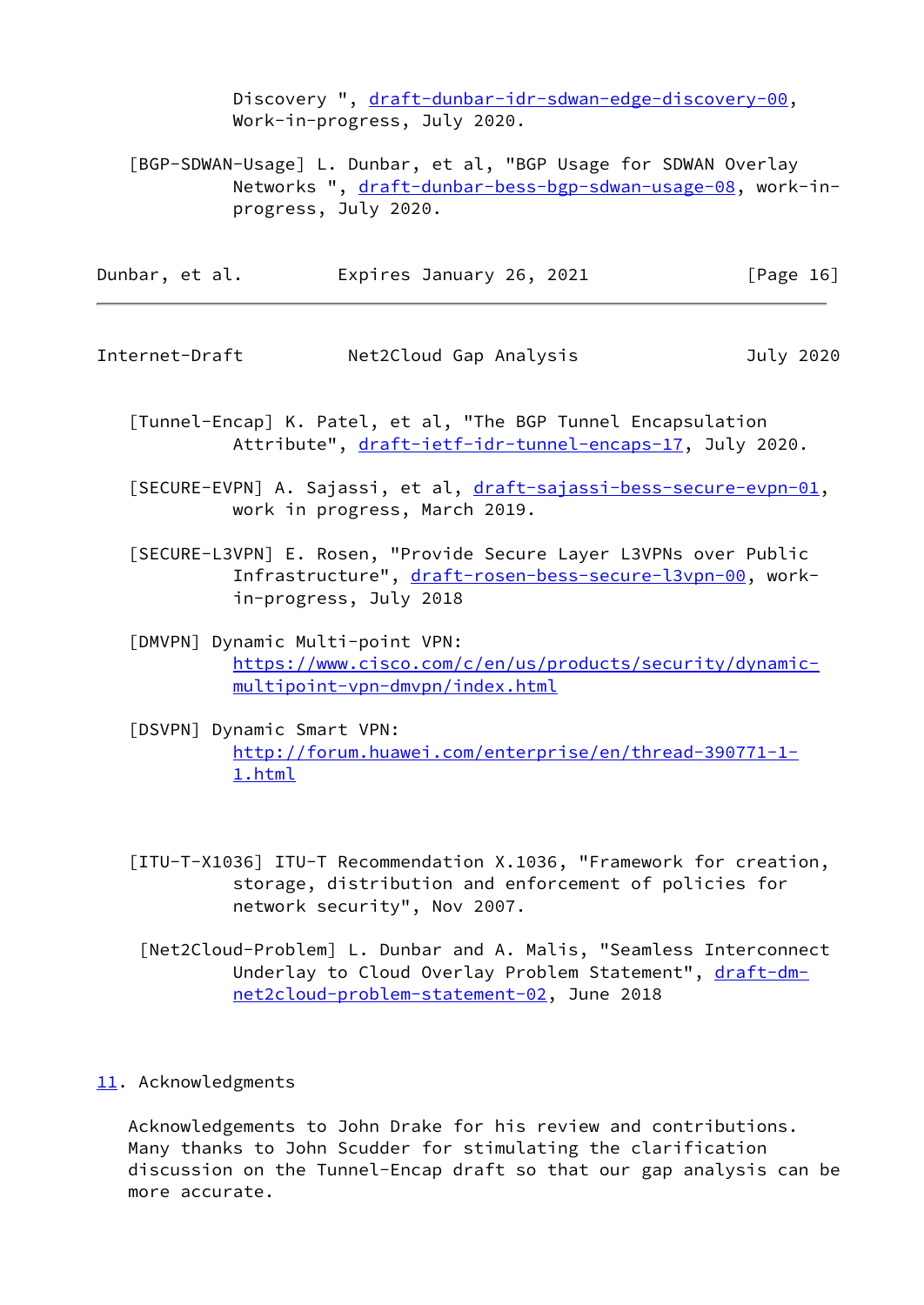Discovery ", [draft-dunbar-idr-sdwan-edge-discovery-00,](https://datatracker.ietf.org/doc/pdf/draft-dunbar-idr-sdwan-edge-discovery-00) Work-in-progress, July 2020.

<span id="page-16-4"></span> [BGP-SDWAN-Usage] L. Dunbar, et al, "BGP Usage for SDWAN Overlay Networks ", [draft-dunbar-bess-bgp-sdwan-usage-08](https://datatracker.ietf.org/doc/pdf/draft-dunbar-bess-bgp-sdwan-usage-08), work-in progress, July 2020.

Dunbar, et al. **Expires January 26, 2021** [Page 16]

<span id="page-16-1"></span>Internet-Draft Net2Cloud Gap Analysis July 2020

 [Tunnel-Encap] K. Patel, et al, "The BGP Tunnel Encapsulation Attribute", [draft-ietf-idr-tunnel-encaps-17](https://datatracker.ietf.org/doc/pdf/draft-ietf-idr-tunnel-encaps-17), July 2020.

[SECURE-EVPN] A. Sajassi, et al, [draft-sajassi-bess-secure-evpn-01](https://datatracker.ietf.org/doc/pdf/draft-sajassi-bess-secure-evpn-01), work in progress, March 2019.

 [SECURE-L3VPN] E. Rosen, "Provide Secure Layer L3VPNs over Public Infrastructure", [draft-rosen-bess-secure-l3vpn-00,](https://datatracker.ietf.org/doc/pdf/draft-rosen-bess-secure-l3vpn-00) work in-progress, July 2018

<span id="page-16-3"></span> [DMVPN] Dynamic Multi-point VPN: [https://www.cisco.com/c/en/us/products/security/dynamic](https://www.cisco.com/c/en/us/products/security/dynamic-multipoint-vpn-dmvpn/index.html) [multipoint-vpn-dmvpn/index.html](https://www.cisco.com/c/en/us/products/security/dynamic-multipoint-vpn-dmvpn/index.html)

<span id="page-16-2"></span> [DSVPN] Dynamic Smart VPN: [http://forum.huawei.com/enterprise/en/thread-390771-1-](http://forum.huawei.com/enterprise/en/thread-390771-1-1.html) [1.html](http://forum.huawei.com/enterprise/en/thread-390771-1-1.html)

 [ITU-T-X1036] ITU-T Recommendation X.1036, "Framework for creation, storage, distribution and enforcement of policies for network security", Nov 2007.

 [Net2Cloud-Problem] L. Dunbar and A. Malis, "Seamless Interconnect Underlay to Cloud Overlay Problem Statement", [draft-dm](https://datatracker.ietf.org/doc/pdf/draft-dm-net2cloud-problem-statement-02) [net2cloud-problem-statement-02](https://datatracker.ietf.org/doc/pdf/draft-dm-net2cloud-problem-statement-02), June 2018

<span id="page-16-0"></span>[11.](#page-16-0) Acknowledgments

 Acknowledgements to John Drake for his review and contributions. Many thanks to John Scudder for stimulating the clarification discussion on the Tunnel-Encap draft so that our gap analysis can be more accurate.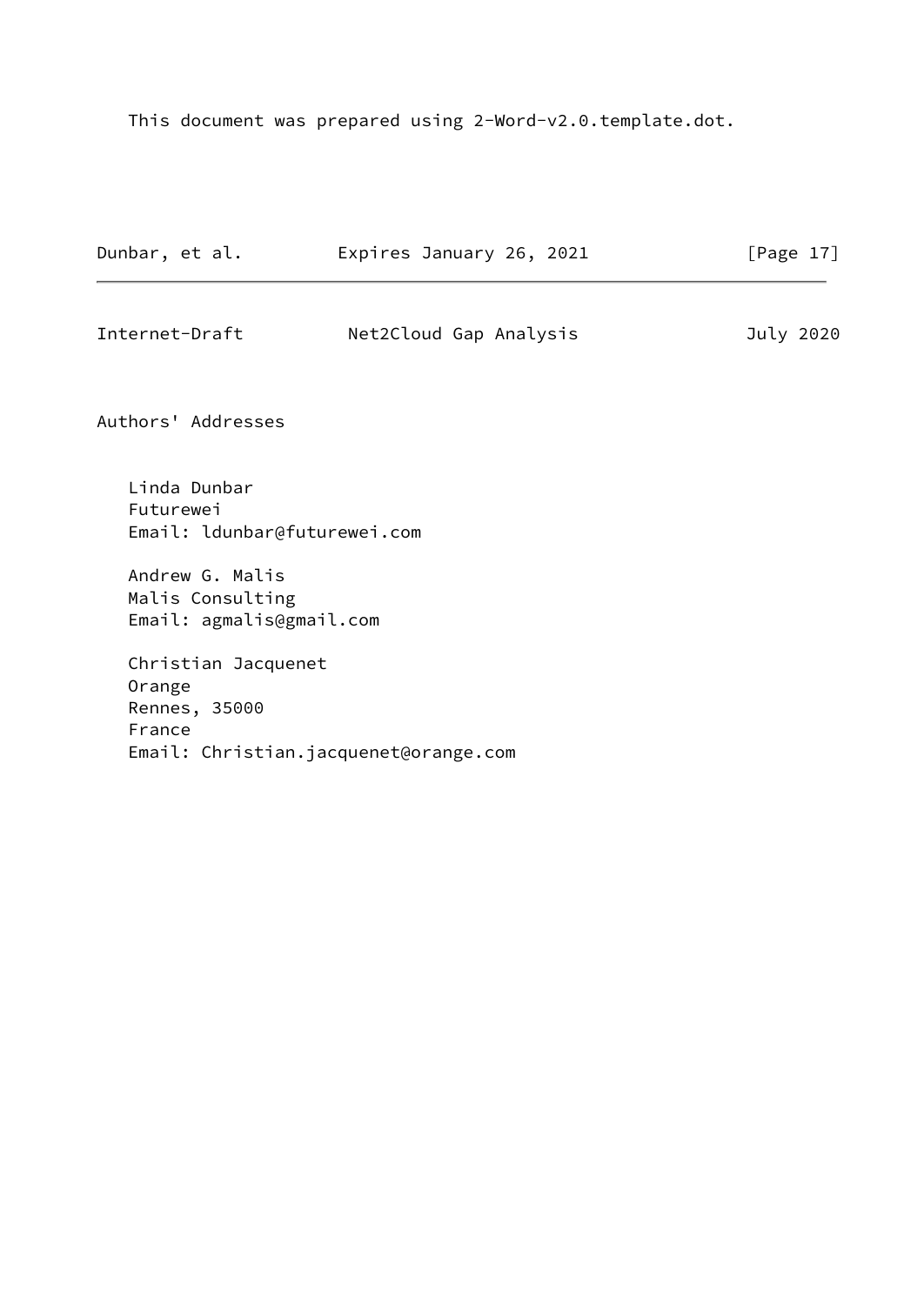This document was prepared using 2-Word-v2.0.template.dot.

| Dunbar, et al.                                                  | Expires January 26, 2021              | [Page $17$ ] |
|-----------------------------------------------------------------|---------------------------------------|--------------|
| Internet-Draft                                                  | Net2Cloud Gap Analysis                | July 2020    |
| Authors' Addresses                                              |                                       |              |
| Linda Dunbar<br>Futurewei<br>Email: ldunbar@futurewei.com       |                                       |              |
| Andrew G. Malis<br>Malis Consulting<br>Email: agmalis@gmail.com |                                       |              |
| Christian Jacquenet<br>Orange<br>Rennes, 35000<br>France        | Email: Christian.jacquenet@orange.com |              |